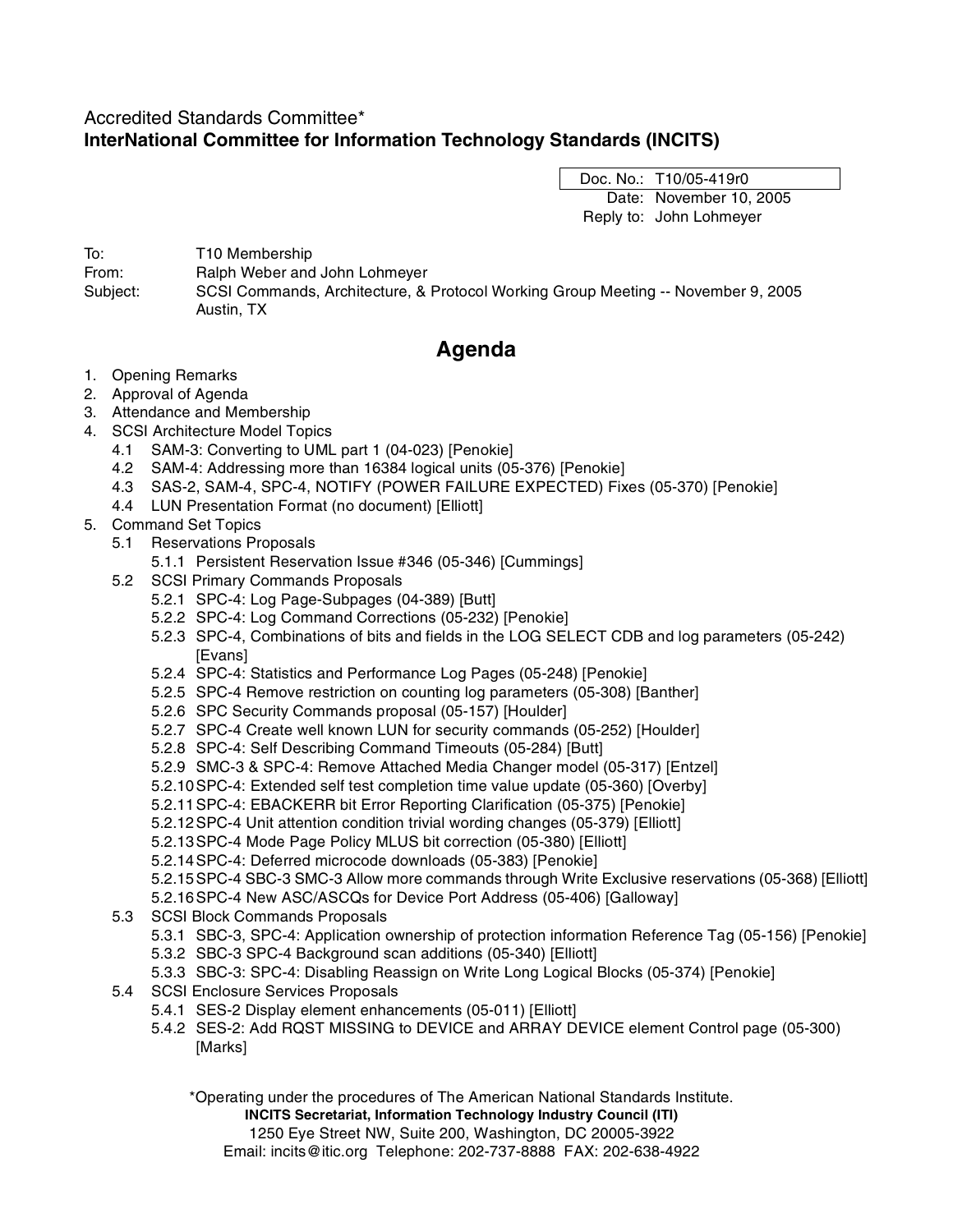# Accredited Standards Committee\* **InterNational Committee for Information Technology Standards (INCITS)**

Doc. No.: T10/05-419r0 Date: November 10, 2005 Reply to: John Lohmeyer

To: T10 Membership From: Ralph Weber and John Lohmeyer Subject: SCSI Commands, Architecture, & Protocol Working Group Meeting -- November 9, 2005 Austin, TX

# **Agenda**

- 1. Opening Remarks
- 2. Approval of Agenda
- 3. Attendance and Membership
- 4. SCSI Architecture Model Topics
	- 4.1 SAM-3: Converting to UML part 1 (04-023) [Penokie]
	- 4.2 SAM-4: Addressing more than 16384 logical units (05-376) [Penokie]
	- 4.3 SAS-2, SAM-4, SPC-4, NOTIFY (POWER FAILURE EXPECTED) Fixes (05-370) [Penokie]
	- 4.4 LUN Presentation Format (no document) [Elliott]
- 5. Command Set Topics
	- 5.1 Reservations Proposals
		- 5.1.1 Persistent Reservation Issue #346 (05-346) [Cummings]
	- 5.2 SCSI Primary Commands Proposals
		- 5.2.1 SPC-4: Log Page-Subpages (04-389) [Butt]
		- 5.2.2 SPC-4: Log Command Corrections (05-232) [Penokie]
		- 5.2.3 SPC-4, Combinations of bits and fields in the LOG SELECT CDB and log parameters (05-242) [Evans]
		- 5.2.4 SPC-4: Statistics and Performance Log Pages (05-248) [Penokie]
		- 5.2.5 SPC-4 Remove restriction on counting log parameters (05-308) [Banther]
		- 5.2.6 SPC Security Commands proposal (05-157) [Houlder]
		- 5.2.7 SPC-4 Create well known LUN for security commands (05-252) [Houlder]
		- 5.2.8 SPC-4: Self Describing Command Timeouts (05-284) [Butt]
		- 5.2.9 SMC-3 & SPC-4: Remove Attached Media Changer model (05-317) [Entzel]
		- 5.2.10SPC-4: Extended self test completion time value update (05-360) [Overby]
		- 5.2.11SPC-4: EBACKERR bit Error Reporting Clarification (05-375) [Penokie]
		- 5.2.12SPC-4 Unit attention condition trivial wording changes (05-379) [Elliott]
		- 5.2.13SPC-4 Mode Page Policy MLUS bit correction (05-380) [Elliott]
		- 5.2.14SPC-4: Deferred microcode downloads (05-383) [Penokie]
		- 5.2.15SPC-4 SBC-3 SMC-3 Allow more commands through Write Exclusive reservations (05-368) [Elliott]
		- 5.2.16SPC-4 New ASC/ASCQs for Device Port Address (05-406) [Galloway]
	- 5.3 SCSI Block Commands Proposals
		- 5.3.1 SBC-3, SPC-4: Application ownership of protection information Reference Tag (05-156) [Penokie]
		- 5.3.2 SBC-3 SPC-4 Background scan additions (05-340) [Elliott]
		- 5.3.3 SBC-3: SPC-4: Disabling Reassign on Write Long Logical Blocks (05-374) [Penokie]
	- 5.4 SCSI Enclosure Services Proposals
		- 5.4.1 SES-2 Display element enhancements (05-011) [Elliott]
		- 5.4.2 SES-2: Add RQST MISSING to DEVICE and ARRAY DEVICE element Control page (05-300) [Marks]

\*Operating under the procedures of The American National Standards Institute.

### **INCITS Secretariat, Information Technology Industry Council (ITI)**

1250 Eye Street NW, Suite 200, Washington, DC 20005-3922

Email: incits@itic.org Telephone: 202-737-8888 FAX: 202-638-4922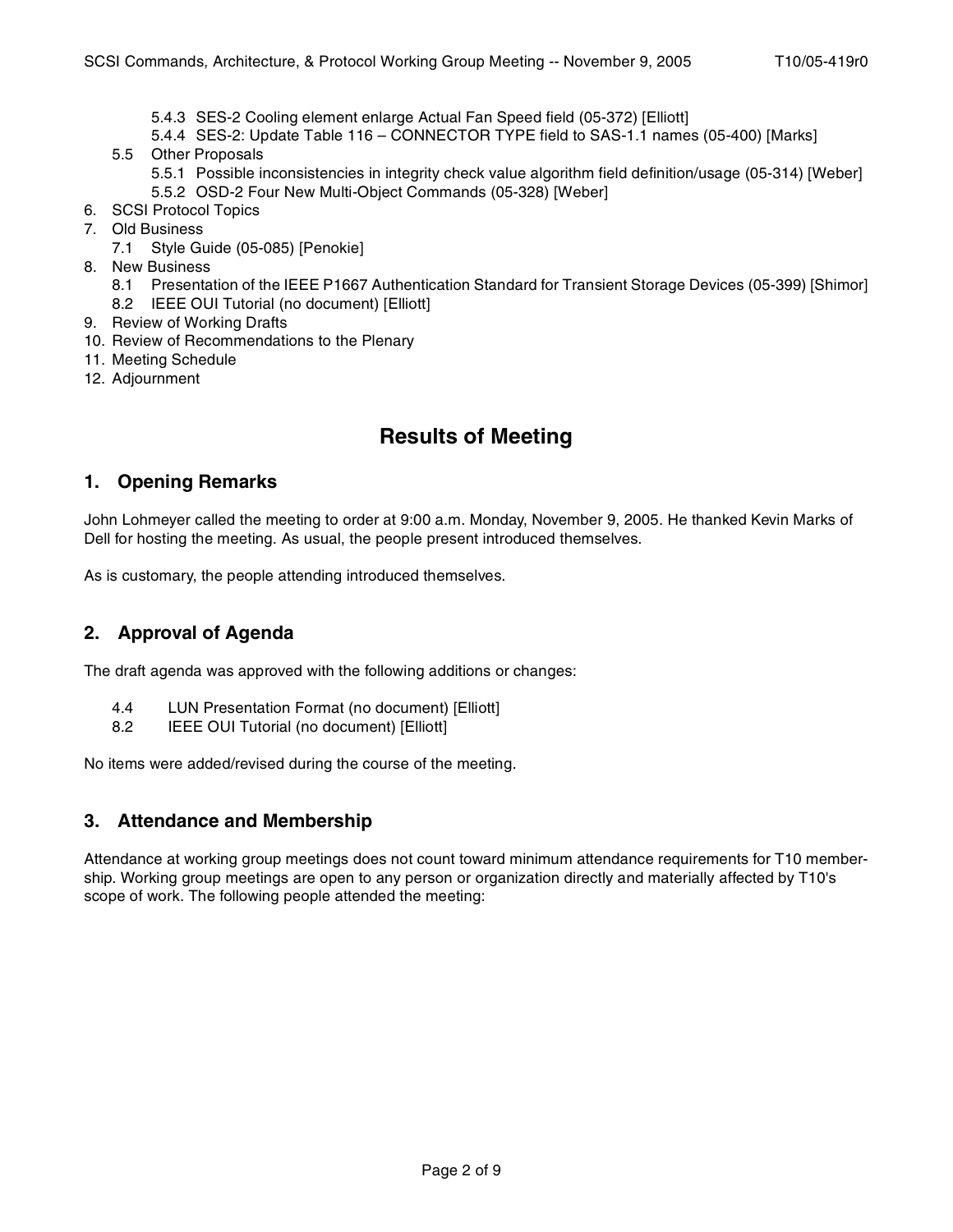- 5.4.3 SES-2 Cooling element enlarge Actual Fan Speed field (05-372) [Elliott]
- 5.4.4 SES-2: Update Table 116 CONNECTOR TYPE field to SAS-1.1 names (05-400) [Marks]
- 5.5 Other Proposals
	- 5.5.1 Possible inconsistencies in integrity check value algorithm field definition/usage (05-314) [Weber]
	- 5.5.2 OSD-2 Four New Multi-Object Commands (05-328) [Weber]
- 6. SCSI Protocol Topics
- 7. Old Business
	- 7.1 Style Guide (05-085) [Penokie]
- 8. New Business
	- 8.1 Presentation of the IEEE P1667 Authentication Standard for Transient Storage Devices (05-399) [Shimor]
	- 8.2 IEEE OUI Tutorial (no document) [Elliott]
- 9. Review of Working Drafts
- 10. Review of Recommendations to the Plenary
- 11. Meeting Schedule
- 12. Adjournment

# **Results of Meeting**

# **1. Opening Remarks**

John Lohmeyer called the meeting to order at 9:00 a.m. Monday, November 9, 2005. He thanked Kevin Marks of Dell for hosting the meeting. As usual, the people present introduced themselves.

As is customary, the people attending introduced themselves.

# **2. Approval of Agenda**

The draft agenda was approved with the following additions or changes:

- 4.4 LUN Presentation Format (no document) [Elliott]
- 8.2 IEEE OUI Tutorial (no document) [Elliott]

No items were added/revised during the course of the meeting.

# **3. Attendance and Membership**

Attendance at working group meetings does not count toward minimum attendance requirements for T10 membership. Working group meetings are open to any person or organization directly and materially affected by T10's scope of work. The following people attended the meeting: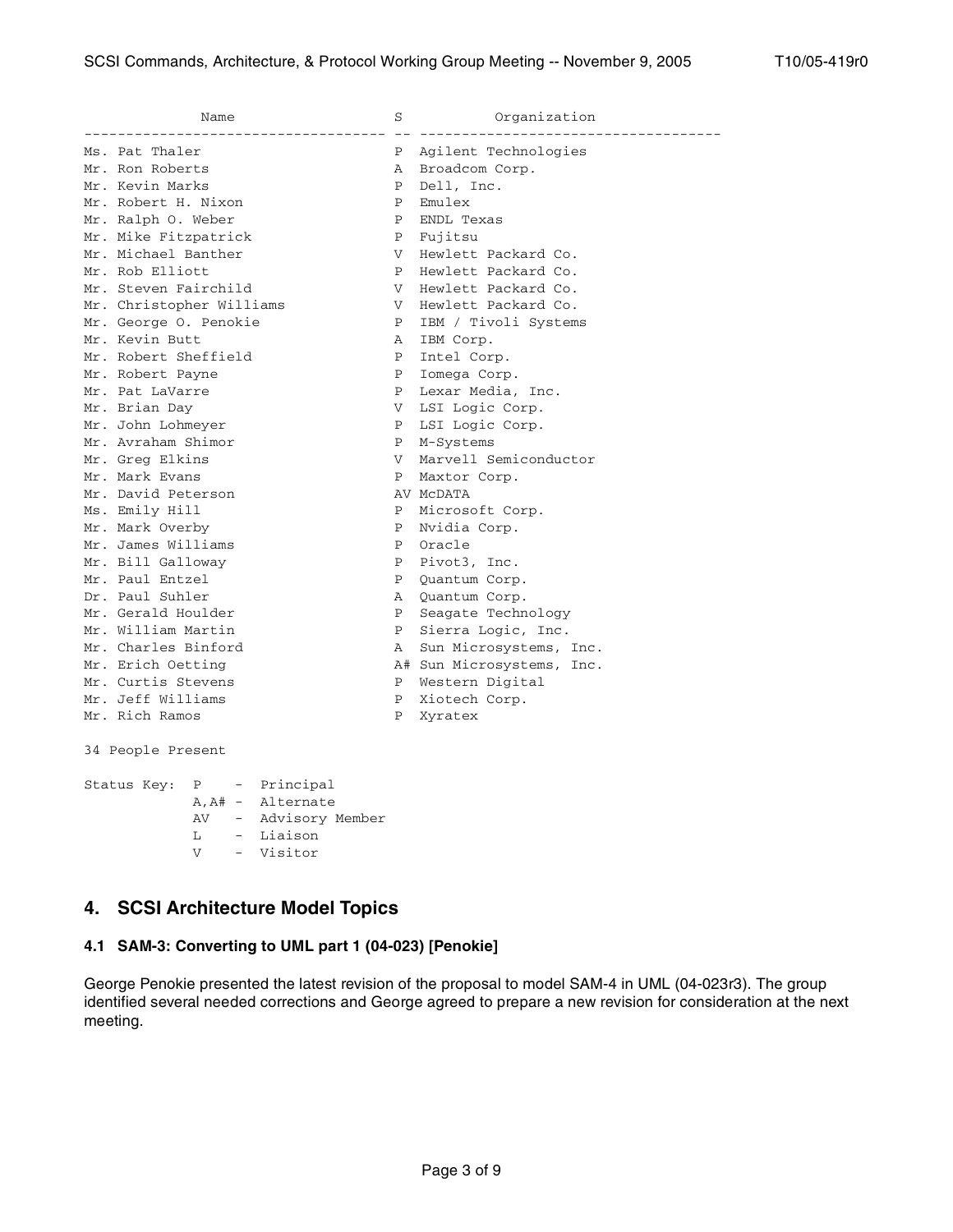| Name                |                          |     |  |                   | S            | Organization              |
|---------------------|--------------------------|-----|--|-------------------|--------------|---------------------------|
| Ms. Pat Thaler      |                          |     |  |                   | Ρ            | Agilent Technologies      |
|                     | Mr. Ron Roberts          |     |  |                   |              | A Broadcom Corp.          |
|                     | Mr. Kevin Marks          |     |  |                   | P            | Dell, Inc.                |
|                     | Mr. Robert H. Nixon      |     |  |                   | $\mathbf{P}$ | Emulex                    |
|                     | Mr. Ralph O. Weber       |     |  |                   | P            | ENDL Texas                |
|                     | Mr. Mike Fitzpatrick     |     |  |                   |              | P Fujitsu                 |
|                     | Mr. Michael Banther      |     |  |                   | V            | Hewlett Packard Co.       |
|                     | Mr. Rob Elliott          |     |  |                   | P            | Hewlett Packard Co.       |
|                     | Mr. Steven Fairchild     |     |  |                   |              | V Hewlett Packard Co.     |
|                     | Mr. Christopher Williams |     |  |                   |              | V Hewlett Packard Co.     |
|                     | Mr. George O. Penokie    |     |  |                   | Ρ            | IBM / Tivoli Systems      |
|                     | Mr. Kevin Butt           |     |  |                   | Α            | IBM Corp.                 |
|                     | Mr. Robert Sheffield     |     |  |                   | Ρ            | Intel Corp.               |
|                     | Mr. Robert Payne         |     |  |                   | $\mathbf{P}$ | Iomega Corp.              |
|                     | Mr. Pat LaVarre          |     |  |                   | P            | Lexar Media, Inc.         |
|                     | Mr. Brian Day            |     |  |                   |              | V LSI Logic Corp.         |
|                     | Mr. John Lohmeyer        |     |  |                   |              | P LSI Logic Corp.         |
|                     | Mr. Avraham Shimor       |     |  |                   |              | P M-Systems               |
|                     | Mr. Greg Elkins          |     |  |                   | V            | Marvell Semiconductor     |
|                     | Mr. Mark Evans           |     |  |                   | P            | Maxtor Corp.              |
|                     | Mr. David Peterson       |     |  |                   |              | AV MCDATA                 |
|                     | Ms. Emily Hill           |     |  |                   | Ρ            | Microsoft Corp.           |
|                     | Mr. Mark Overby          |     |  |                   | P            | Nvidia Corp.              |
| Mr. James Williams  |                          |     |  |                   | P —          | Oracle                    |
| Mr. Bill Galloway   |                          |     |  |                   | $\mathbf{P}$ | Pivot3, Inc.              |
| Mr. Paul Entzel     |                          |     |  |                   |              | P Quantum Corp.           |
| Dr. Paul Suhler     |                          |     |  |                   |              | A Quantum Corp.           |
| Mr. Gerald Houlder  |                          |     |  |                   | P            | Seagate Technology        |
| Mr. William Martin  |                          |     |  |                   | P            | Sierra Logic, Inc.        |
| Mr. Charles Binford |                          |     |  |                   | A            | Sun Microsystems, Inc.    |
|                     | Mr. Erich Oetting        |     |  |                   |              | A# Sun Microsystems, Inc. |
|                     | Mr. Curtis Stevens       |     |  |                   | P            | Western Digital           |
|                     | Mr. Jeff Williams        |     |  |                   | P            | Xiotech Corp.             |
| Mr. Rich Ramos      |                          |     |  |                   | P            | Xyratex                   |
|                     |                          |     |  |                   |              |                           |
| 34 People Present   |                          |     |  |                   |              |                           |
| P - Principal       |                          |     |  |                   |              |                           |
|                     | Status Key:              |     |  |                   |              |                           |
|                     |                          |     |  | A, A# - Alternate |              |                           |
|                     |                          | AV. |  | - Advisory Member |              |                           |
|                     |                          | L   |  | - Liaison         |              |                           |

# **4. SCSI Architecture Model Topics**

V - Visitor

### **4.1 SAM-3: Converting to UML part 1 (04-023) [Penokie]**

George Penokie presented the latest revision of the proposal to model SAM-4 in UML (04-023r3). The group identified several needed corrections and George agreed to prepare a new revision for consideration at the next meeting.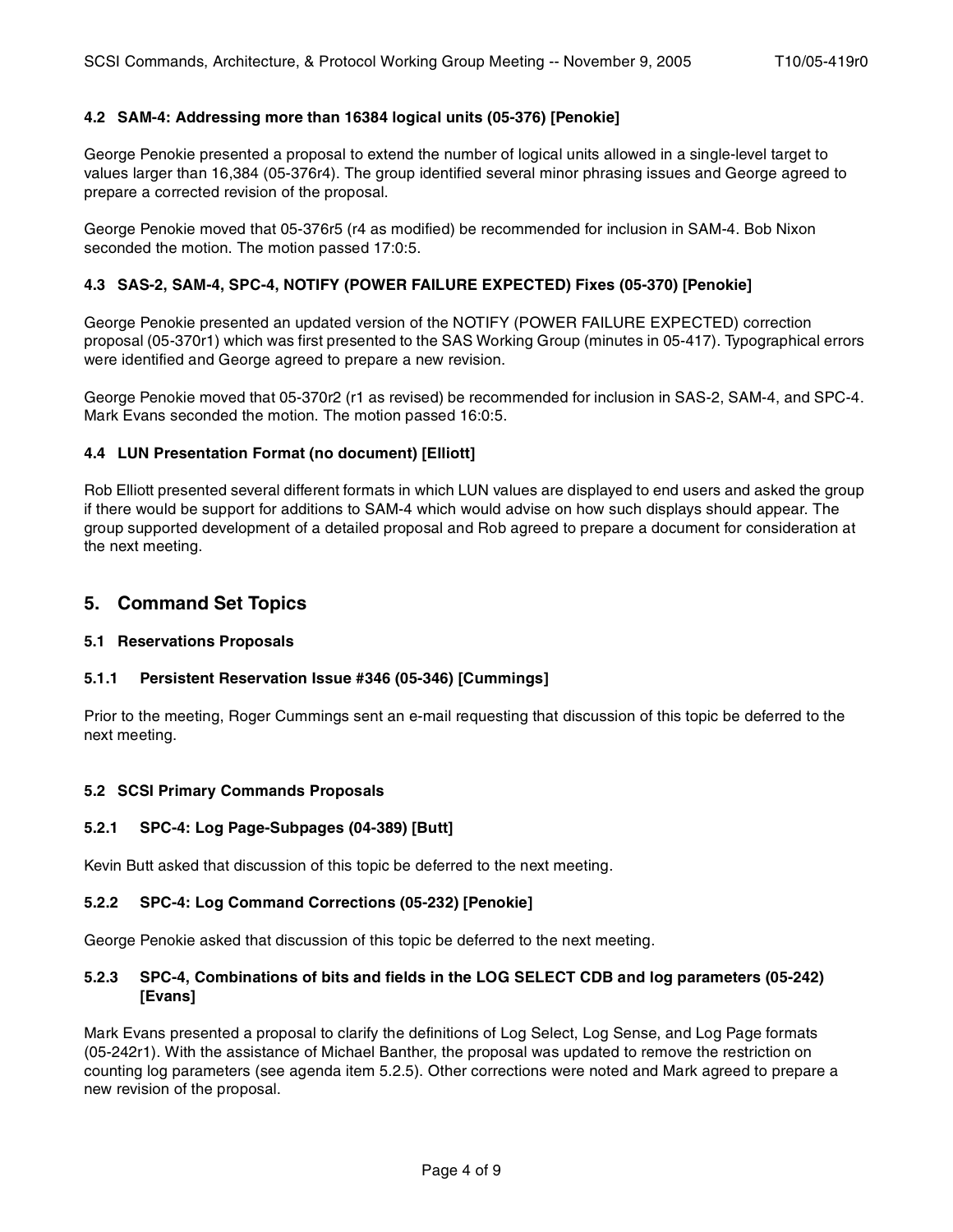### **4.2 SAM-4: Addressing more than 16384 logical units (05-376) [Penokie]**

George Penokie presented a proposal to extend the number of logical units allowed in a single-level target to values larger than 16,384 (05-376r4). The group identified several minor phrasing issues and George agreed to prepare a corrected revision of the proposal.

George Penokie moved that 05-376r5 (r4 as modified) be recommended for inclusion in SAM-4. Bob Nixon seconded the motion. The motion passed 17:0:5.

#### **4.3 SAS-2, SAM-4, SPC-4, NOTIFY (POWER FAILURE EXPECTED) Fixes (05-370) [Penokie]**

George Penokie presented an updated version of the NOTIFY (POWER FAILURE EXPECTED) correction proposal (05-370r1) which was first presented to the SAS Working Group (minutes in 05-417). Typographical errors were identified and George agreed to prepare a new revision.

George Penokie moved that 05-370r2 (r1 as revised) be recommended for inclusion in SAS-2, SAM-4, and SPC-4. Mark Evans seconded the motion. The motion passed 16:0:5.

#### **4.4 LUN Presentation Format (no document) [Elliott]**

Rob Elliott presented several different formats in which LUN values are displayed to end users and asked the group if there would be support for additions to SAM-4 which would advise on how such displays should appear. The group supported development of a detailed proposal and Rob agreed to prepare a document for consideration at the next meeting.

### **5. Command Set Topics**

#### **5.1 Reservations Proposals**

#### **5.1.1 Persistent Reservation Issue #346 (05-346) [Cummings]**

Prior to the meeting, Roger Cummings sent an e-mail requesting that discussion of this topic be deferred to the next meeting.

#### **5.2 SCSI Primary Commands Proposals**

#### **5.2.1 SPC-4: Log Page-Subpages (04-389) [Butt]**

Kevin Butt asked that discussion of this topic be deferred to the next meeting.

### **5.2.2 SPC-4: Log Command Corrections (05-232) [Penokie]**

George Penokie asked that discussion of this topic be deferred to the next meeting.

### <span id="page-3-0"></span>**5.2.3 SPC-4, Combinations of bits and fields in the LOG SELECT CDB and log parameters (05-242) [Evans]**

Mark Evans presented a proposal to clarify the definitions of Log Select, Log Sense, and Log Page formats (05-242r1). With the assistance of Michael Banther, the proposal was updated to remove the restriction on counting log parameters (see agenda item [5.2.5](#page-4-0)). Other corrections were noted and Mark agreed to prepare a new revision of the proposal.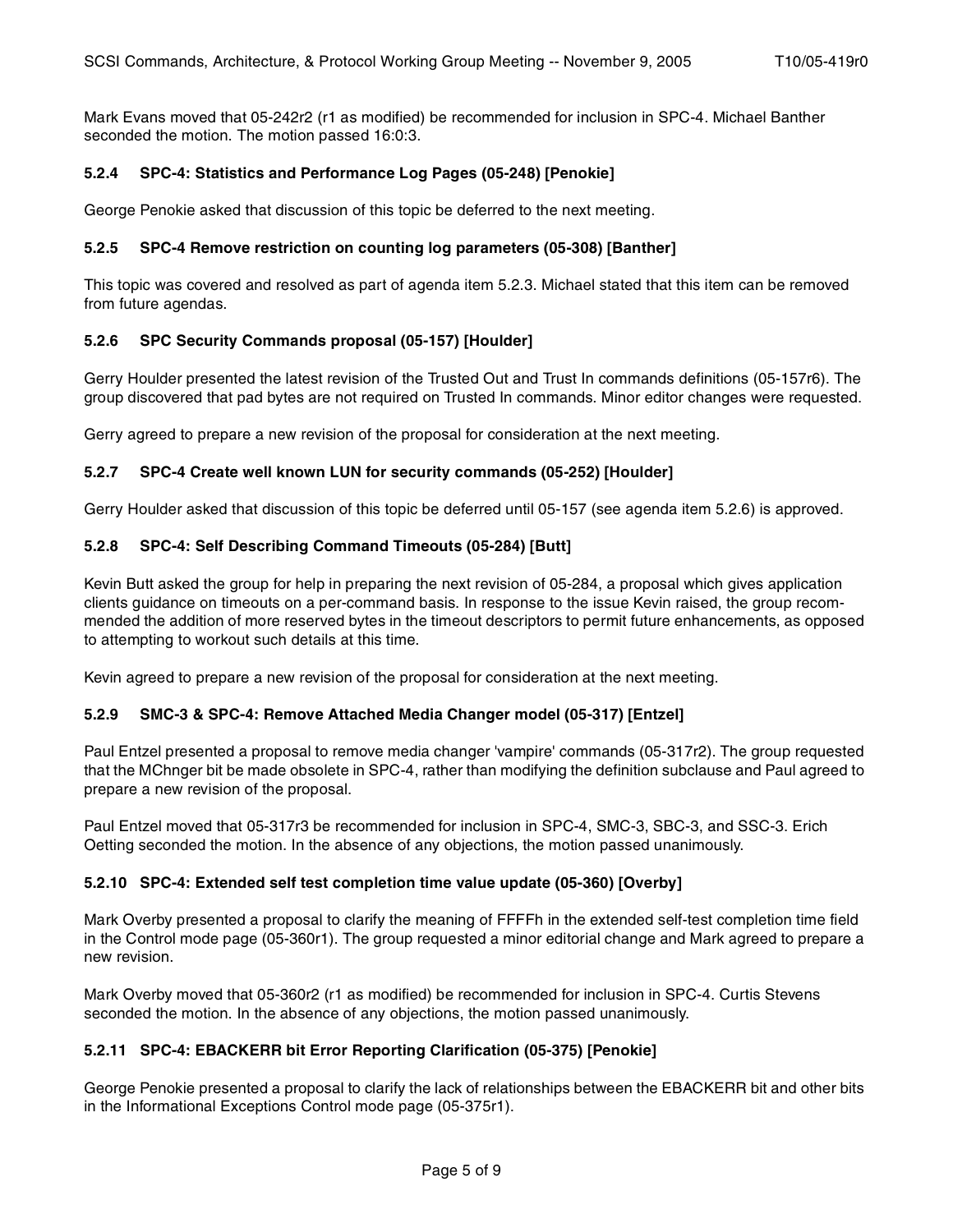Mark Evans moved that 05-242r2 (r1 as modified) be recommended for inclusion in SPC-4. Michael Banther seconded the motion. The motion passed 16:0:3.

### **5.2.4 SPC-4: Statistics and Performance Log Pages (05-248) [Penokie]**

George Penokie asked that discussion of this topic be deferred to the next meeting.

### <span id="page-4-0"></span>**5.2.5 SPC-4 Remove restriction on counting log parameters (05-308) [Banther]**

This topic was covered and resolved as part of agenda item [5.2.3](#page-3-0). Michael stated that this item can be removed from future agendas.

### <span id="page-4-1"></span>**5.2.6 SPC Security Commands proposal (05-157) [Houlder]**

Gerry Houlder presented the latest revision of the Trusted Out and Trust In commands definitions (05-157r6). The group discovered that pad bytes are not required on Trusted In commands. Minor editor changes were requested.

Gerry agreed to prepare a new revision of the proposal for consideration at the next meeting.

#### **5.2.7 SPC-4 Create well known LUN for security commands (05-252) [Houlder]**

Gerry Houlder asked that discussion of this topic be deferred until 05-157 (see agenda item [5.2.6](#page-4-1)) is approved.

### **5.2.8 SPC-4: Self Describing Command Timeouts (05-284) [Butt]**

Kevin Butt asked the group for help in preparing the next revision of 05-284, a proposal which gives application clients guidance on timeouts on a per-command basis. In response to the issue Kevin raised, the group recommended the addition of more reserved bytes in the timeout descriptors to permit future enhancements, as opposed to attempting to workout such details at this time.

Kevin agreed to prepare a new revision of the proposal for consideration at the next meeting.

#### **5.2.9 SMC-3 & SPC-4: Remove Attached Media Changer model (05-317) [Entzel]**

Paul Entzel presented a proposal to remove media changer 'vampire' commands (05-317r2). The group requested that the MChnger bit be made obsolete in SPC-4, rather than modifying the definition subclause and Paul agreed to prepare a new revision of the proposal.

Paul Entzel moved that 05-317r3 be recommended for inclusion in SPC-4, SMC-3, SBC-3, and SSC-3. Erich Oetting seconded the motion. In the absence of any objections, the motion passed unanimously.

#### **5.2.10 SPC-4: Extended self test completion time value update (05-360) [Overby]**

Mark Overby presented a proposal to clarify the meaning of FFFFh in the extended self-test completion time field in the Control mode page (05-360r1). The group requested a minor editorial change and Mark agreed to prepare a new revision.

Mark Overby moved that 05-360r2 (r1 as modified) be recommended for inclusion in SPC-4. Curtis Stevens seconded the motion. In the absence of any objections, the motion passed unanimously.

### **5.2.11 SPC-4: EBACKERR bit Error Reporting Clarification (05-375) [Penokie]**

George Penokie presented a proposal to clarify the lack of relationships between the EBACKERR bit and other bits in the Informational Exceptions Control mode page (05-375r1).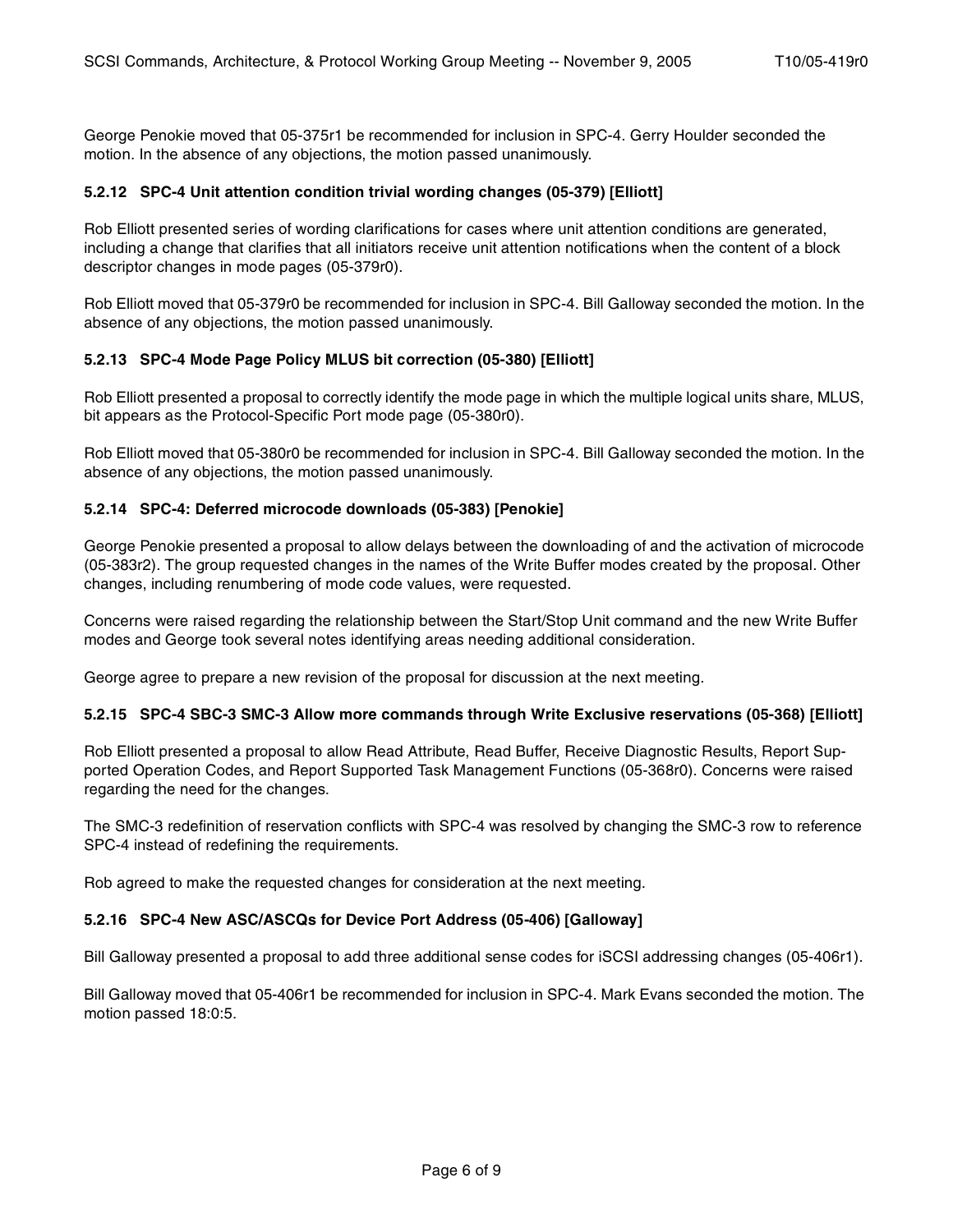George Penokie moved that 05-375r1 be recommended for inclusion in SPC-4. Gerry Houlder seconded the motion. In the absence of any objections, the motion passed unanimously.

### **5.2.12 SPC-4 Unit attention condition trivial wording changes (05-379) [Elliott]**

Rob Elliott presented series of wording clarifications for cases where unit attention conditions are generated, including a change that clarifies that all initiators receive unit attention notifications when the content of a block descriptor changes in mode pages (05-379r0).

Rob Elliott moved that 05-379r0 be recommended for inclusion in SPC-4. Bill Galloway seconded the motion. In the absence of any objections, the motion passed unanimously.

#### **5.2.13 SPC-4 Mode Page Policy MLUS bit correction (05-380) [Elliott]**

Rob Elliott presented a proposal to correctly identify the mode page in which the multiple logical units share, MLUS, bit appears as the Protocol-Specific Port mode page (05-380r0).

Rob Elliott moved that 05-380r0 be recommended for inclusion in SPC-4. Bill Galloway seconded the motion. In the absence of any objections, the motion passed unanimously.

#### **5.2.14 SPC-4: Deferred microcode downloads (05-383) [Penokie]**

George Penokie presented a proposal to allow delays between the downloading of and the activation of microcode (05-383r2). The group requested changes in the names of the Write Buffer modes created by the proposal. Other changes, including renumbering of mode code values, were requested.

Concerns were raised regarding the relationship between the Start/Stop Unit command and the new Write Buffer modes and George took several notes identifying areas needing additional consideration.

George agree to prepare a new revision of the proposal for discussion at the next meeting.

#### **5.2.15 SPC-4 SBC-3 SMC-3 Allow more commands through Write Exclusive reservations (05-368) [Elliott]**

Rob Elliott presented a proposal to allow Read Attribute, Read Buffer, Receive Diagnostic Results, Report Supported Operation Codes, and Report Supported Task Management Functions (05-368r0). Concerns were raised regarding the need for the changes.

The SMC-3 redefinition of reservation conflicts with SPC-4 was resolved by changing the SMC-3 row to reference SPC-4 instead of redefining the requirements.

Rob agreed to make the requested changes for consideration at the next meeting.

#### **5.2.16 SPC-4 New ASC/ASCQs for Device Port Address (05-406) [Galloway]**

Bill Galloway presented a proposal to add three additional sense codes for iSCSI addressing changes (05-406r1).

Bill Galloway moved that 05-406r1 be recommended for inclusion in SPC-4. Mark Evans seconded the motion. The motion passed 18:0:5.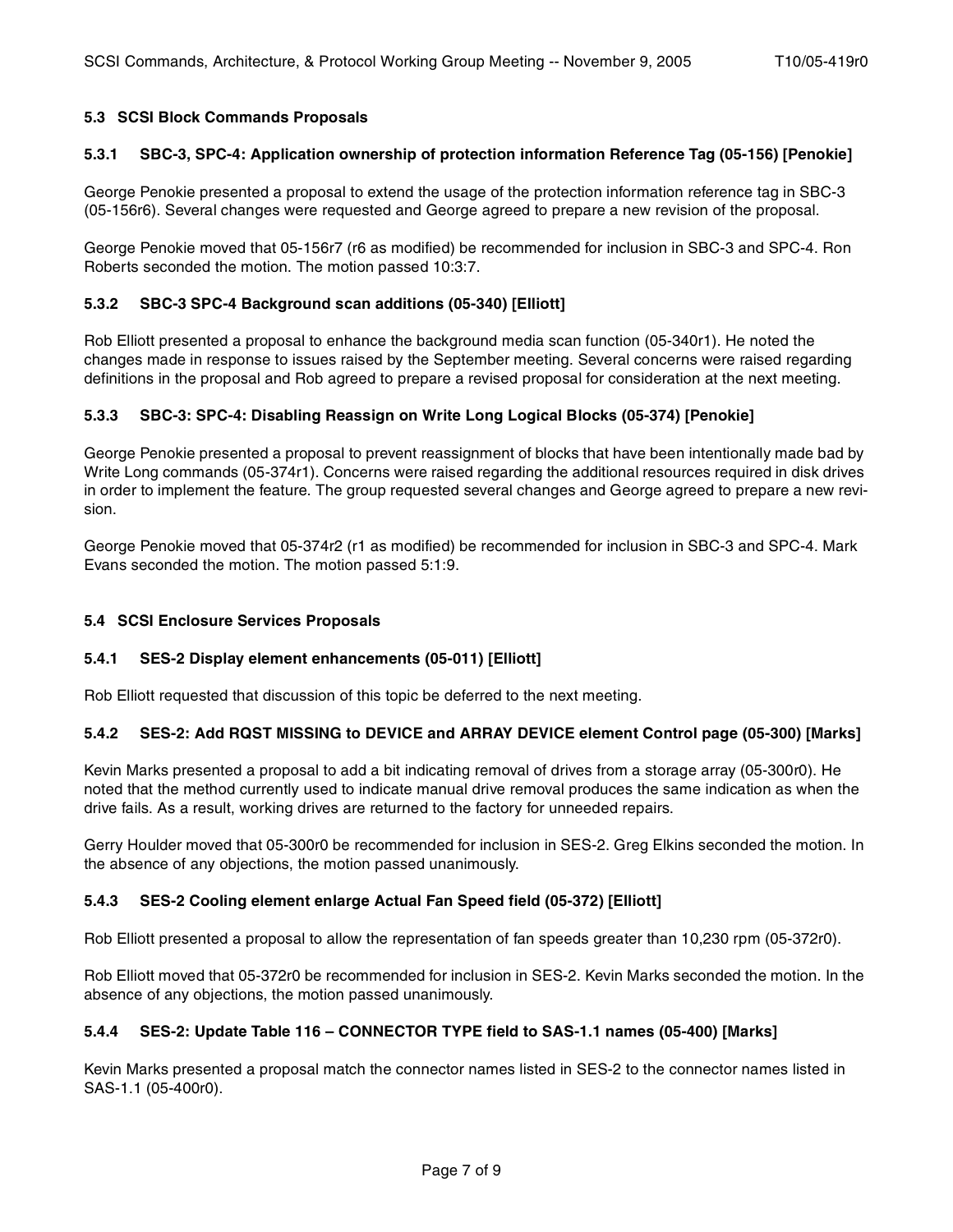### **5.3 SCSI Block Commands Proposals**

### **5.3.1 SBC-3, SPC-4: Application ownership of protection information Reference Tag (05-156) [Penokie]**

George Penokie presented a proposal to extend the usage of the protection information reference tag in SBC-3 (05-156r6). Several changes were requested and George agreed to prepare a new revision of the proposal.

George Penokie moved that 05-156r7 (r6 as modified) be recommended for inclusion in SBC-3 and SPC-4. Ron Roberts seconded the motion. The motion passed 10:3:7.

#### **5.3.2 SBC-3 SPC-4 Background scan additions (05-340) [Elliott]**

Rob Elliott presented a proposal to enhance the background media scan function (05-340r1). He noted the changes made in response to issues raised by the September meeting. Several concerns were raised regarding definitions in the proposal and Rob agreed to prepare a revised proposal for consideration at the next meeting.

### **5.3.3 SBC-3: SPC-4: Disabling Reassign on Write Long Logical Blocks (05-374) [Penokie]**

George Penokie presented a proposal to prevent reassignment of blocks that have been intentionally made bad by Write Long commands (05-374r1). Concerns were raised regarding the additional resources required in disk drives in order to implement the feature. The group requested several changes and George agreed to prepare a new revision.

George Penokie moved that 05-374r2 (r1 as modified) be recommended for inclusion in SBC-3 and SPC-4. Mark Evans seconded the motion. The motion passed 5:1:9.

#### **5.4 SCSI Enclosure Services Proposals**

### **5.4.1 SES-2 Display element enhancements (05-011) [Elliott]**

Rob Elliott requested that discussion of this topic be deferred to the next meeting.

### **5.4.2 SES-2: Add RQST MISSING to DEVICE and ARRAY DEVICE element Control page (05-300) [Marks]**

Kevin Marks presented a proposal to add a bit indicating removal of drives from a storage array (05-300r0). He noted that the method currently used to indicate manual drive removal produces the same indication as when the drive fails. As a result, working drives are returned to the factory for unneeded repairs.

Gerry Houlder moved that 05-300r0 be recommended for inclusion in SES-2. Greg Elkins seconded the motion. In the absence of any objections, the motion passed unanimously.

### **5.4.3 SES-2 Cooling element enlarge Actual Fan Speed field (05-372) [Elliott]**

Rob Elliott presented a proposal to allow the representation of fan speeds greater than 10,230 rpm (05-372r0).

Rob Elliott moved that 05-372r0 be recommended for inclusion in SES-2. Kevin Marks seconded the motion. In the absence of any objections, the motion passed unanimously.

#### **5.4.4 SES-2: Update Table 116 – CONNECTOR TYPE field to SAS-1.1 names (05-400) [Marks]**

Kevin Marks presented a proposal match the connector names listed in SES-2 to the connector names listed in SAS-1.1 (05-400r0).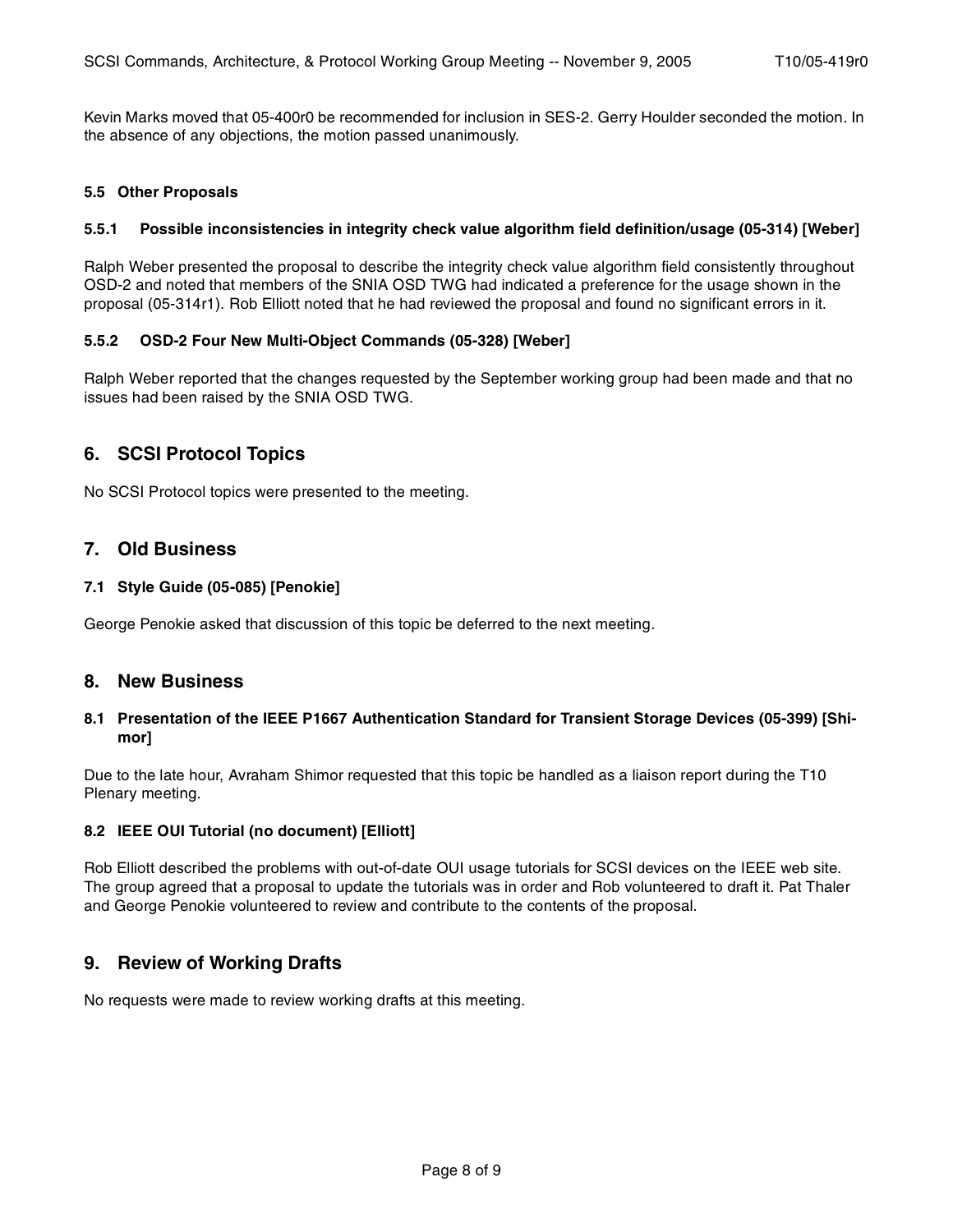Kevin Marks moved that 05-400r0 be recommended for inclusion in SES-2. Gerry Houlder seconded the motion. In the absence of any objections, the motion passed unanimously.

### **5.5 Other Proposals**

### **5.5.1 Possible inconsistencies in integrity check value algorithm field definition/usage (05-314) [Weber]**

Ralph Weber presented the proposal to describe the integrity check value algorithm field consistently throughout OSD-2 and noted that members of the SNIA OSD TWG had indicated a preference for the usage shown in the proposal (05-314r1). Rob Elliott noted that he had reviewed the proposal and found no significant errors in it.

### **5.5.2 OSD-2 Four New Multi-Object Commands (05-328) [Weber]**

Ralph Weber reported that the changes requested by the September working group had been made and that no issues had been raised by the SNIA OSD TWG.

# **6. SCSI Protocol Topics**

No SCSI Protocol topics were presented to the meeting.

# **7. Old Business**

### **7.1 Style Guide (05-085) [Penokie]**

George Penokie asked that discussion of this topic be deferred to the next meeting.

## **8. New Business**

### **8.1 Presentation of the IEEE P1667 Authentication Standard for Transient Storage Devices (05-399) [Shimor]**

Due to the late hour, Avraham Shimor requested that this topic be handled as a liaison report during the T10 Plenary meeting.

### **8.2 IEEE OUI Tutorial (no document) [Elliott]**

Rob Elliott described the problems with out-of-date OUI usage tutorials for SCSI devices on the IEEE web site. The group agreed that a proposal to update the tutorials was in order and Rob volunteered to draft it. Pat Thaler and George Penokie volunteered to review and contribute to the contents of the proposal.

# **9. Review of Working Drafts**

No requests were made to review working drafts at this meeting.